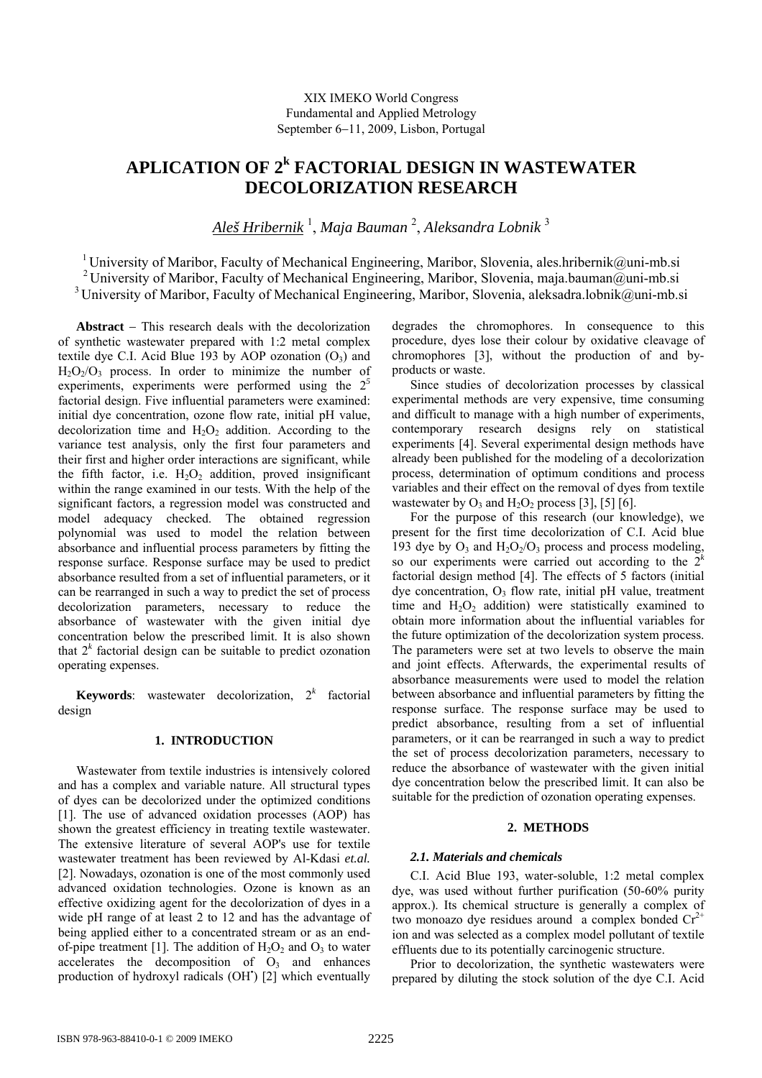# **APLICATION OF 2<sup>k</sup> FACTORIAL DESIGN IN WASTEWATER DECOLORIZATION RESEARCH**

*Aleš Hribernik* <sup>1</sup> , *Maja Bauman* <sup>2</sup> , *Aleksandra Lobnik* <sup>3</sup>

<sup>1</sup> University of Maribor, Faculty of Mechanical Engineering, Maribor, Slovenia, ales.hribernik@uni-mb.si <sup>2</sup> University of Maribor, Faculty of Mechanical Engineering, Maribor, Slovenia, maja.bauman@uni-mb.si <sup>3</sup> University of Maribor, Faculty of Mechanical Engineering, Maribor, Slovenia, aleksadra.lobnik@uni-mb.si

**Abstract** − This research deals with the decolorization of synthetic wastewater prepared with 1:2 metal complex textile dye C.I. Acid Blue 193 by AOP ozonation  $(O_3)$  and  $H_2O_2/O_3$  process. In order to minimize the number of experiments, experiments were performed using the 2*<sup>5</sup>* factorial design. Five influential parameters were examined: initial dye concentration, ozone flow rate, initial pH value, decolorization time and  $H_2O_2$  addition. According to the variance test analysis, only the first four parameters and their first and higher order interactions are significant, while the fifth factor, i.e.  $H_2O_2$  addition, proved insignificant within the range examined in our tests. With the help of the significant factors, a regression model was constructed and model adequacy checked. The obtained regression polynomial was used to model the relation between absorbance and influential process parameters by fitting the response surface. Response surface may be used to predict absorbance resulted from a set of influential parameters, or it can be rearranged in such a way to predict the set of process decolorization parameters, necessary to reduce the absorbance of wastewater with the given initial dye concentration below the prescribed limit. It is also shown that  $2^k$  factorial design can be suitable to predict ozonation operating expenses.

**Keywords**: wastewater decolorization,  $2^k$  factorial design

# **1. INTRODUCTION**

Wastewater from textile industries is intensively colored and has a complex and variable nature. All structural types of dyes can be decolorized under the optimized conditions [1]. The use of advanced oxidation processes (AOP) has shown the greatest efficiency in treating textile wastewater. The extensive literature of several AOP's use for textile wastewater treatment has been reviewed by Al-Kdasi *et.al.* [2]. Nowadays, ozonation is one of the most commonly used advanced oxidation technologies. Ozone is known as an effective oxidizing agent for the decolorization of dyes in a wide pH range of at least 2 to 12 and has the advantage of being applied either to a concentrated stream or as an endof-pipe treatment [1]. The addition of  $H_2O_2$  and  $O_3$  to water accelerates the decomposition of  $O<sub>3</sub>$  and enhances production of hydroxyl radicals (OH<sup>\*</sup>) [2] which eventually degrades the chromophores. In consequence to this procedure, dyes lose their colour by oxidative cleavage of chromophores [3], without the production of and byproducts or waste.

Since studies of decolorization processes by classical experimental methods are very expensive, time consuming and difficult to manage with a high number of experiments, contemporary research designs rely on statistical experiments [4]. Several experimental design methods have already been published for the modeling of a decolorization process, determination of optimum conditions and process variables and their effect on the removal of dyes from textile wastewater by  $O_3$  and  $H_2O_2$  process [3], [5] [6].

For the purpose of this research (our knowledge), we present for the first time decolorization of C.I. Acid blue 193 dye by  $O_3$  and  $H_2O_2/O_3$  process and process modeling, so our experiments were carried out according to the 2*<sup>k</sup>* factorial design method [4]. The effects of 5 factors (initial dye concentration,  $O_3$  flow rate, initial pH value, treatment time and  $H_2O_2$  addition) were statistically examined to obtain more information about the influential variables for the future optimization of the decolorization system process. The parameters were set at two levels to observe the main and joint effects. Afterwards, the experimental results of absorbance measurements were used to model the relation between absorbance and influential parameters by fitting the response surface. The response surface may be used to predict absorbance, resulting from a set of influential parameters, or it can be rearranged in such a way to predict the set of process decolorization parameters, necessary to reduce the absorbance of wastewater with the given initial dye concentration below the prescribed limit. It can also be suitable for the prediction of ozonation operating expenses.

### **2. METHODS**

# *2.1. Materials and chemicals*

C.I. Acid Blue 193, water-soluble, 1:2 metal complex dye, was used without further purification (50-60% purity approx.). Its chemical structure is generally a complex of two monoazo dye residues around a complex bonded  $Cr^{2+}$ ion and was selected as a complex model pollutant of textile effluents due to its potentially carcinogenic structure.

Prior to decolorization, the synthetic wastewaters were prepared by diluting the stock solution of the dye C.I. Acid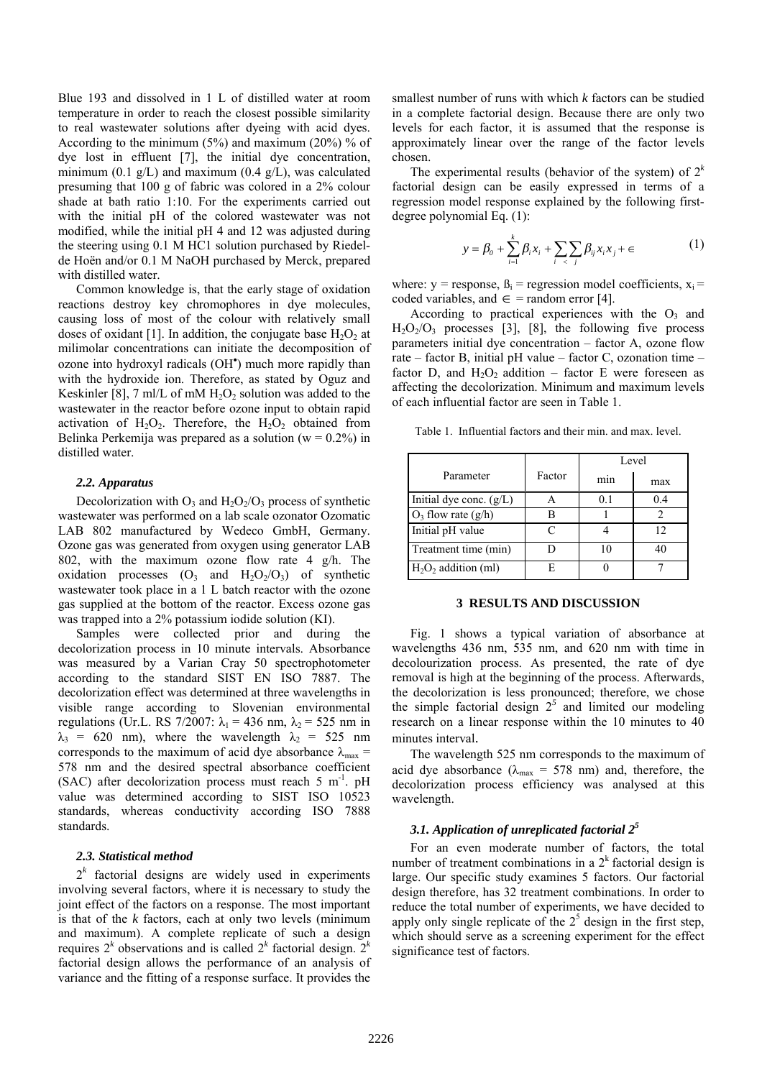Blue 193 and dissolved in 1 L of distilled water at room temperature in order to reach the closest possible similarity to real wastewater solutions after dyeing with acid dyes. According to the minimum (5%) and maximum (20%) % of dye lost in effluent [7], the initial dye concentration, minimum (0.1  $g/L$ ) and maximum (0.4  $g/L$ ), was calculated presuming that 100 g of fabric was colored in a 2% colour shade at bath ratio 1:10. For the experiments carried out with the initial pH of the colored wastewater was not modified, while the initial pH 4 and 12 was adjusted during the steering using 0.1 M HC1 solution purchased by Riedelde Hoёn and/or 0.1 M NaOH purchased by Merck, prepared with distilled water.

Common knowledge is, that the early stage of oxidation reactions destroy key chromophores in dye molecules, causing loss of most of the colour with relatively small doses of oxidant [1]. In addition, the conjugate base  $H_2O_2$  at milimolar concentrations can initiate the decomposition of ozone into hydroxyl radicals (OH<sup>\*</sup>) much more rapidly than with the hydroxide ion. Therefore, as stated by Oguz and Keskinler [8], 7 ml/L of mM  $H_2O_2$  solution was added to the wastewater in the reactor before ozone input to obtain rapid activation of  $H_2O_2$ . Therefore, the  $H_2O_2$  obtained from Belinka Perkemija was prepared as a solution ( $w = 0.2\%$ ) in distilled water.

# *2.2. Apparatus*

Decolorization with  $O_3$  and  $H_2O_2/O_3$  process of synthetic wastewater was performed on a lab scale ozonator Ozomatic LAB 802 manufactured by Wedeco GmbH, Germany. Ozone gas was generated from oxygen using generator LAB 802, with the maximum ozone flow rate 4  $g/h$ . The oxidation processes  $(O_3$  and  $H_2O_2/O_3$  of synthetic wastewater took place in a 1 L batch reactor with the ozone gas supplied at the bottom of the reactor. Excess ozone gas was trapped into a 2% potassium iodide solution (KI).

Samples were collected prior and during the decolorization process in 10 minute intervals. Absorbance was measured by a Varian Cray 50 spectrophotometer according to the standard SIST EN ISO 7887. The decolorization effect was determined at three wavelengths in visible range according to Slovenian environmental regulations (Ur.L. RS 7/2007:  $\lambda_1$  = 436 nm,  $\lambda_2$  = 525 nm in  $\lambda_3$  = 620 nm), where the wavelength  $\lambda_2$  = 525 nm corresponds to the maximum of acid dye absorbance  $\lambda_{\text{max}} =$ 578 nm and the desired spectral absorbance coefficient (SAC) after decolorization process must reach  $5 \text{ m}^{-1}$ . pH value was determined according to SIST ISO 10523 standards, whereas conductivity according ISO 7888 standards.

## *2.3. Statistical method*

 $2<sup>k</sup>$  factorial designs are widely used in experiments involving several factors, where it is necessary to study the joint effect of the factors on a response. The most important is that of the *k* factors, each at only two levels (minimum and maximum). A complete replicate of such a design requires  $2^k$  observations and is called  $2^k$  factorial design.  $2^k$ factorial design allows the performance of an analysis of variance and the fitting of a response surface. It provides the

smallest number of runs with which *k* factors can be studied in a complete factorial design. Because there are only two levels for each factor, it is assumed that the response is approximately linear over the range of the factor levels chosen.

The experimental results (behavior of the system) of  $2<sup>k</sup>$ factorial design can be easily expressed in terms of a regression model response explained by the following firstdegree polynomial Eq. (1):

$$
y = \beta_0 + \sum_{i=1}^{k} \beta_i x_i + \sum_{i} \sum_{j} \beta_{ij} x_i x_j + \epsilon
$$
 (1)

where:  $y =$  response,  $\beta_i =$  regression model coefficients,  $x_i =$ coded variables, and  $\in$  = random error [4].

According to practical experiences with the  $O<sub>3</sub>$  and  $H<sub>2</sub>O<sub>2</sub>/O<sub>3</sub>$  processes [3], [8], the following five process parameters initial dye concentration – factor A, ozone flow rate – factor B, initial pH value – factor C, ozonation time – factor D, and  $H_2O_2$  addition – factor E were foreseen as affecting the decolorization. Minimum and maximum levels of each influential factor are seen in Table 1.

| Table 1. Influential factors and their min. and max. level. |  |  |  |  |
|-------------------------------------------------------------|--|--|--|--|
|                                                             |  |  |  |  |

|                           |        | Level          |      |  |
|---------------------------|--------|----------------|------|--|
| Parameter                 | Factor | min            | max  |  |
| Initial dye conc. $(g/L)$ |        | 0 <sup>1</sup> | () 4 |  |
| $O_3$ flow rate (g/h)     |        |                |      |  |
| Initial pH value          |        |                | 12   |  |
| Treatment time (min)      |        | 10             | 40   |  |
| $H2O2$ addition (ml)      |        |                |      |  |

#### **3 RESULTS AND DISCUSSION**

Fig. 1 shows a typical variation of absorbance at wavelengths 436 nm, 535 nm, and 620 nm with time in decolourization process. As presented, the rate of dye removal is high at the beginning of the process. Afterwards, the decolorization is less pronounced; therefore, we chose the simple factorial design  $2<sup>5</sup>$  and limited our modeling research on a linear response within the 10 minutes to 40 minutes interval.

The wavelength 525 nm corresponds to the maximum of acid dye absorbance ( $\lambda_{\text{max}}$  = 578 nm) and, therefore, the decolorization process efficiency was analysed at this wavelength.

# *3.1. Application of unreplicated factorial 25*

For an even moderate number of factors, the total number of treatment combinations in a  $2<sup>k</sup>$  factorial design is large. Our specific study examines 5 factors. Our factorial design therefore, has 32 treatment combinations. In order to reduce the total number of experiments, we have decided to apply only single replicate of the  $2<sup>5</sup>$  design in the first step, which should serve as a screening experiment for the effect significance test of factors.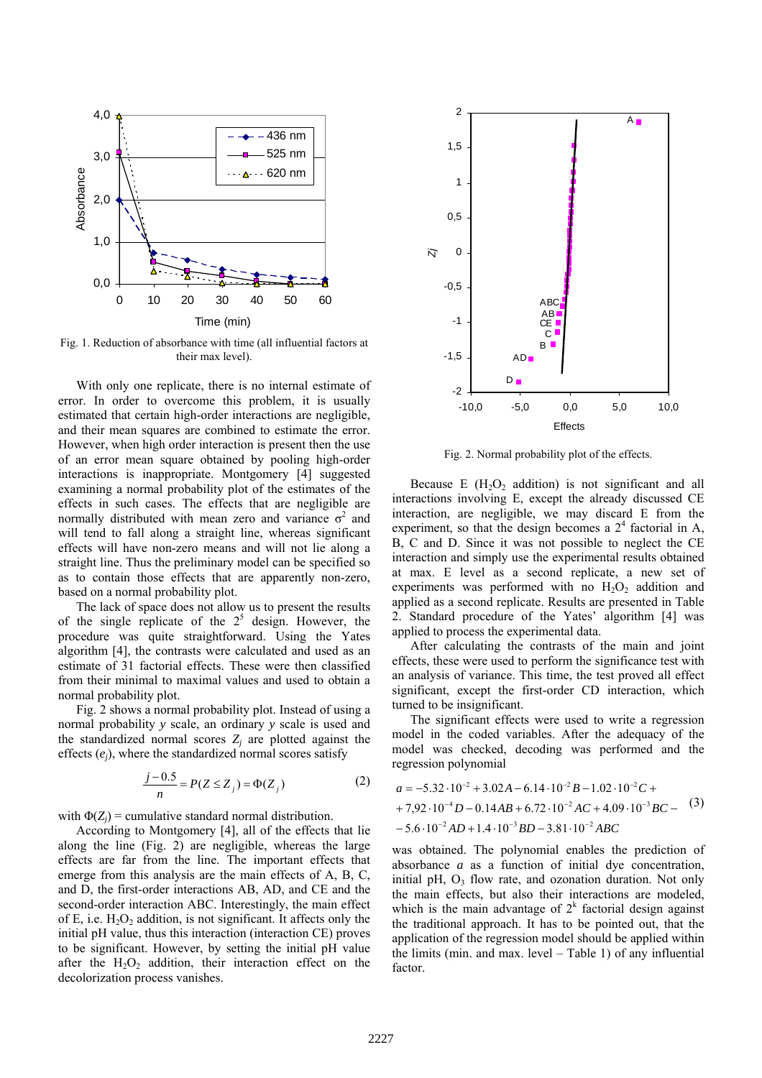

Fig. 1. Reduction of absorbance with time (all influential factors at their max level).

With only one replicate, there is no internal estimate of error. In order to overcome this problem, it is usually estimated that certain high-order interactions are negligible, and their mean squares are combined to estimate the error. However, when high order interaction is present then the use of an error mean square obtained by pooling high-order interactions is inappropriate. Montgomery [4] suggested examining a normal probability plot of the estimates of the effects in such cases. The effects that are negligible are normally distributed with mean zero and variance  $\sigma^2$  and will tend to fall along a straight line, whereas significant effects will have non-zero means and will not lie along a straight line. Thus the preliminary model can be specified so as to contain those effects that are apparently non-zero, based on a normal probability plot.

The lack of space does not allow us to present the results of the single replicate of the  $2<sup>5</sup>$  design. However, the procedure was quite straightforward. Using the Yates algorithm [4], the contrasts were calculated and used as an estimate of 31 factorial effects. These were then classified from their minimal to maximal values and used to obtain a normal probability plot.

Fig. 2 shows a normal probability plot. Instead of using a normal probability *y* scale, an ordinary *y* scale is used and the standardized normal scores  $Z_i$  are plotted against the effects (*ej*), where the standardized normal scores satisfy

$$
\frac{j - 0.5}{n} = P(Z \le Z_j) = \Phi(Z_j)
$$
 (2)

with  $\Phi(Z_i)$  = cumulative standard normal distribution.

According to Montgomery [4], all of the effects that lie along the line (Fig. 2) are negligible, whereas the large effects are far from the line. The important effects that emerge from this analysis are the main effects of A, B, C, and D, the first-order interactions AB, AD, and CE and the second-order interaction ABC. Interestingly, the main effect of E, i.e.  $H_2O_2$  addition, is not significant. It affects only the initial pH value, thus this interaction (interaction CE) proves to be significant. However, by setting the initial pH value after the  $H_2O_2$  addition, their interaction effect on the decolorization process vanishes.



Fig. 2. Normal probability plot of the effects.

Because E  $(H<sub>2</sub>O<sub>2</sub>)$  addition) is not significant and all interactions involving E, except the already discussed CE interaction, are negligible, we may discard E from the experiment, so that the design becomes a  $2<sup>4</sup>$  factorial in A, B, C and D. Since it was not possible to neglect the CE interaction and simply use the experimental results obtained at max. E level as a second replicate, a new set of experiments was performed with no  $H_2O_2$  addition and applied as a second replicate. Results are presented in Table 2. Standard procedure of the Yates' algorithm [4] was applied to process the experimental data.

After calculating the contrasts of the main and joint effects, these were used to perform the significance test with an analysis of variance. This time, the test proved all effect significant, except the first-order CD interaction, which turned to be insignificant.

The significant effects were used to write a regression model in the coded variables. After the adequacy of the model was checked, decoding was performed and the regression polynomial

$$
a = -5.32 \cdot 10^{-2} + 3.02A - 6.14 \cdot 10^{-2}B - 1.02 \cdot 10^{-2}C ++ 7.92 \cdot 10^{-4}D - 0.14AB + 6.72 \cdot 10^{-2}AC + 4.09 \cdot 10^{-3}BC - (3)- 5.6 \cdot 10^{-2}AD + 1.4 \cdot 10^{-3}BD - 3.81 \cdot 10^{-2}ABC
$$

was obtained. The polynomial enables the prediction of absorbance *a* as a function of initial dye concentration, initial pH,  $O_3$  flow rate, and ozonation duration. Not only the main effects, but also their interactions are modeled, which is the main advantage of  $2<sup>k</sup>$  factorial design against the traditional approach. It has to be pointed out, that the application of the regression model should be applied within the limits (min. and max. level – Table 1) of any influential factor.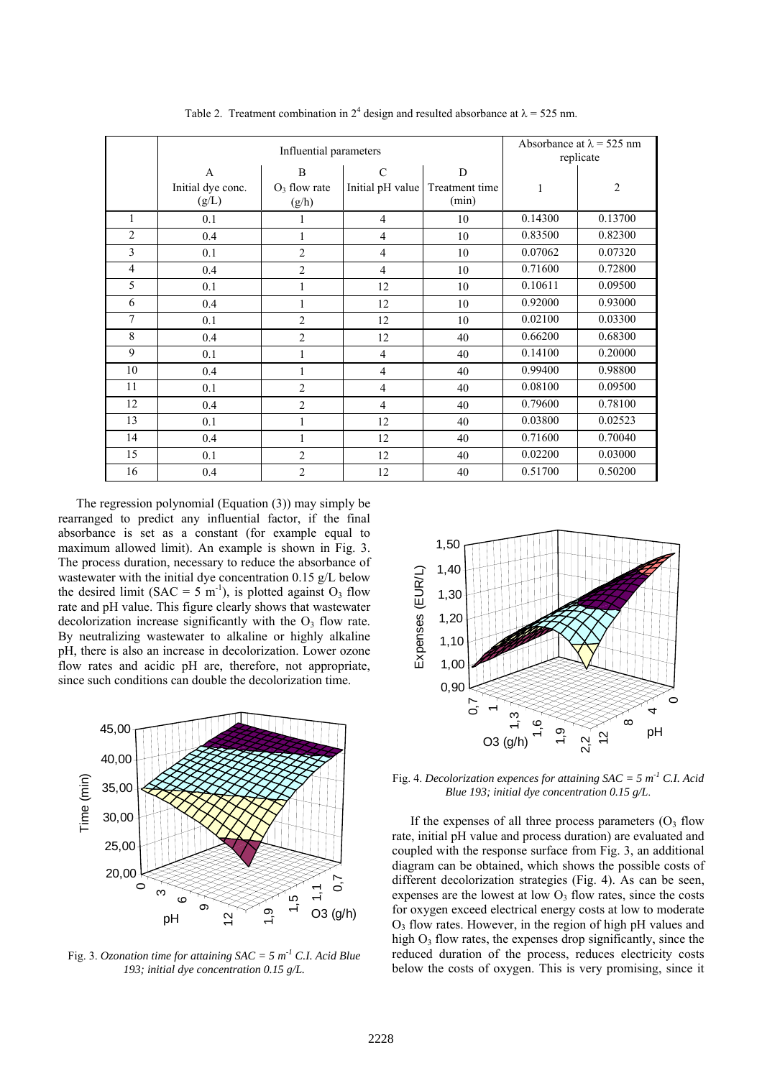|                | Influential parameters                     |                               |                                   |                              | Absorbance at $\lambda$ = 525 nm<br>replicate |                |  |
|----------------|--------------------------------------------|-------------------------------|-----------------------------------|------------------------------|-----------------------------------------------|----------------|--|
|                | $\mathbf{A}$<br>Initial dye conc.<br>(g/L) | B<br>$O_3$ flow rate<br>(g/h) | $\mathcal{C}$<br>Initial pH value | D<br>Treatment time<br>(min) | 1                                             | $\overline{2}$ |  |
| 1              | 0.1                                        | 1                             | $\overline{4}$                    | 10                           | 0.14300                                       | 0.13700        |  |
| $\overline{2}$ | 0.4                                        | 1                             | $\overline{4}$                    | 10                           | 0.83500                                       | 0.82300        |  |
| 3              | 0.1                                        | $\overline{2}$                | $\overline{4}$                    | 10                           | 0.07062                                       | 0.07320        |  |
| $\overline{4}$ | 0.4                                        | $\overline{2}$                | $\overline{4}$                    | 10                           | 0.71600                                       | 0.72800        |  |
| 5              | 0.1                                        | $\mathbf{1}$                  | 12                                | 10                           | 0.10611                                       | 0.09500        |  |
| 6              | 0.4                                        | $\mathbf{1}$                  | 12                                | 10                           | 0.92000                                       | 0.93000        |  |
| $\overline{7}$ | 0.1                                        | $\overline{2}$                | 12                                | 10                           | 0.02100                                       | 0.03300        |  |
| 8              | 0.4                                        | $\overline{2}$                | 12                                | 40                           | 0.66200                                       | 0.68300        |  |
| 9              | 0.1                                        | 1                             | $\overline{4}$                    | 40                           | 0.14100                                       | 0.20000        |  |
| 10             | 0.4                                        | 1                             | $\overline{4}$                    | 40                           | 0.99400                                       | 0.98800        |  |
| 11             | 0.1                                        | $\overline{2}$                | $\overline{4}$                    | 40                           | 0.08100                                       | 0.09500        |  |
| 12             | 0.4                                        | $\overline{2}$                | $\overline{4}$                    | 40                           | 0.79600                                       | 0.78100        |  |
| 13             | 0.1                                        | 1                             | 12                                | 40                           | 0.03800                                       | 0.02523        |  |
| 14             | 0.4                                        | 1                             | 12                                | 40                           | 0.71600                                       | 0.70040        |  |
| 15             | 0.1                                        | $\overline{2}$                | 12                                | 40                           | 0.02200                                       | 0.03000        |  |
| 16             | 0.4                                        | $\overline{2}$                | 12                                | 40                           | 0.51700                                       | 0.50200        |  |

Table 2. Treatment combination in  $2^4$  design and resulted absorbance at  $\lambda = 525$  nm.

The regression polynomial (Equation (3)) may simply be rearranged to predict any influential factor, if the final absorbance is set as a constant (for example equal to maximum allowed limit). An example is shown in Fig. 3. The process duration, necessary to reduce the absorbance of wastewater with the initial dye concentration 0.15 g/L below the desired limit (SAC = 5 m<sup>-1</sup>), is plotted against  $O_3$  flow rate and pH value. This figure clearly shows that wastewater decolorization increase significantly with the  $O<sub>3</sub>$  flow rate. By neutralizing wastewater to alkaline or highly alkaline pH, there is also an increase in decolorization. Lower ozone flow rates and acidic pH are, therefore, not appropriate, since such conditions can double the decolorization time.



Fig. 3. *Ozonation time for attaining SAC = 5 m-1 C.I. Acid Blue 193; initial dye concentration 0.15 g/L.*



Fig. 4. *Decolorization expences for attaining SAC = 5 m-1 C.I. Acid Blue 193; initial dye concentration 0.15 g/L*.

If the expenses of all three process parameters  $(O<sub>3</sub>$  flow rate, initial pH value and process duration) are evaluated and coupled with the response surface from Fig. 3, an additional diagram can be obtained, which shows the possible costs of different decolorization strategies (Fig. 4). As can be seen, expenses are the lowest at low  $O_3$  flow rates, since the costs for oxygen exceed electrical energy costs at low to moderate  $O<sub>3</sub>$  flow rates. However, in the region of high pH values and high  $O_3$  flow rates, the expenses drop significantly, since the reduced duration of the process, reduces electricity costs Fig. 4. *Decolorization expences for attaining SAC* = 5 m<sup>-1</sup> C.I. Acid<br>
Blue 193; initial dye concentration 0.15 g/L.<br>
If the expenses of all three process parameters (O<sub>3</sub> flow<br>
rate, initial pH value and process durati